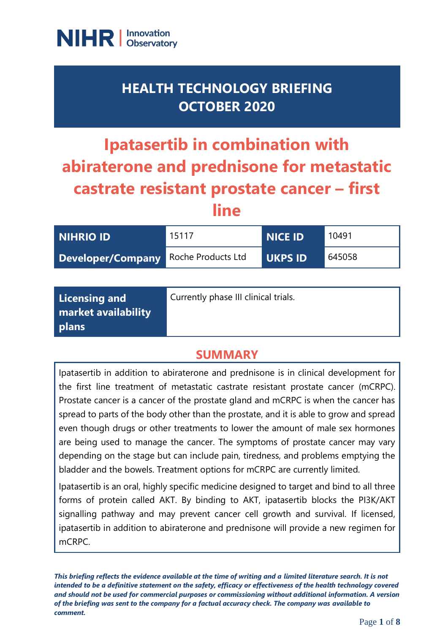

## **HEALTH TECHNOLOGY BRIEFING OCTOBER 2020**

# **Ipatasertib in combination with abiraterone and prednisone for metastatic castrate resistant prostate cancer – first line**

| <b>NIHRIO ID</b>                     | 15117 | <b>NICE ID</b> | 10491  |
|--------------------------------------|-------|----------------|--------|
| Developer/Company Roche Products Ltd |       | <b>UKPS ID</b> | 645058 |

| Licensing and       | Currently phase III clinical trials. |
|---------------------|--------------------------------------|
| market availability |                                      |
| plans               |                                      |

## **SUMMARY**

Ipatasertib in addition to abiraterone and prednisone is in clinical development for the first line treatment of metastatic castrate resistant prostate cancer (mCRPC). Prostate cancer is a cancer of the prostate gland and mCRPC is when the cancer has spread to parts of the body other than the prostate, and it is able to grow and spread even though drugs or other treatments to lower the amount of male sex hormones are being used to manage the cancer. The symptoms of prostate cancer may vary depending on the stage but can include pain, tiredness, and problems emptying the bladder and the bowels. Treatment options for mCRPC are currently limited.

Ipatasertib is an oral, highly specific medicine designed to target and bind to all three forms of protein called AKT. By binding to AKT, ipatasertib blocks the PI3K/AKT signalling pathway and may prevent cancer cell growth and survival. If licensed, ipatasertib in addition to abiraterone and prednisone will provide a new regimen for mCRPC.

*This briefing reflects the evidence available at the time of writing and a limited literature search. It is not intended to be a definitive statement on the safety, efficacy or effectiveness of the health technology covered and should not be used for commercial purposes or commissioning without additional information. A version of the briefing was sent to the company for a factual accuracy check. The company was available to comment.*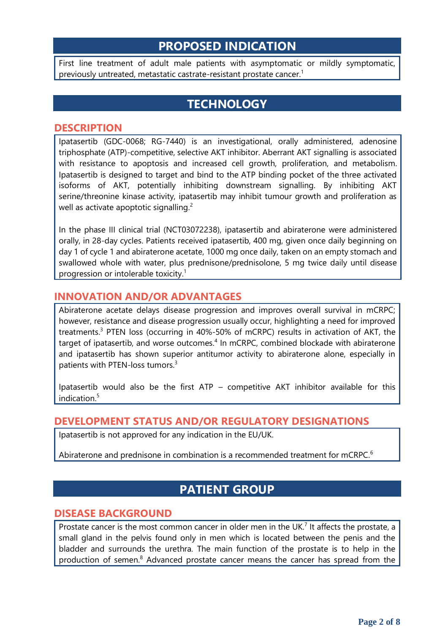## **PROPOSED INDICATION**

First line treatment of adult male patients with asymptomatic or mildly symptomatic, previously untreated, metastatic castrate-resistant prostate cancer. 1

## **TECHNOLOGY**

#### **DESCRIPTION**

Ipatasertib (GDC-0068; RG-7440) is an investigational, orally administered, adenosine triphosphate (ATP)-competitive, selective AKT inhibitor. Aberrant AKT signalling is associated with resistance to apoptosis and increased cell growth, proliferation, and metabolism. Ipatasertib is designed to target and bind to the ATP binding pocket of the three activated isoforms of AKT, potentially inhibiting downstream signalling. By inhibiting AKT serine/threonine kinase activity, ipatasertib may inhibit tumour growth and proliferation as well as activate apoptotic signalling.<sup>2</sup>

In the phase III clinical trial (NCT03072238), ipatasertib and abiraterone were administered orally, in 28-day cycles. Patients received ipatasertib, 400 mg, given once daily beginning on day 1 of cycle 1 and abiraterone acetate, 1000 mg once daily, taken on an empty stomach and swallowed whole with water, plus prednisone/prednisolone, 5 mg twice daily until disease progression or intolerable toxicity. 1

#### **INNOVATION AND/OR ADVANTAGES**

Abiraterone acetate delays disease progression and improves overall survival in mCRPC; however, resistance and disease progression usually occur, highlighting a need for improved treatments.<sup>3</sup> PTEN loss (occurring in 40%-50% of mCRPC) results in activation of AKT, the target of ipatasertib, and worse outcomes.<sup>4</sup> In mCRPC, combined blockade with abiraterone and ipatasertib has shown superior antitumor activity to abiraterone alone, especially in patients with PTEN-loss tumors.<sup>3</sup>

Ipatasertib would also be the first ATP – competitive AKT inhibitor available for this indication.<sup>5</sup>

#### **DEVELOPMENT STATUS AND/OR REGULATORY DESIGNATIONS**

Ipatasertib is not approved for any indication in the EU/UK.

Abiraterone and prednisone in combination is a recommended treatment for mCRPC.<sup>6</sup>

## **PATIENT GROUP**

#### **DISEASE BACKGROUND**

Prostate cancer is the most common cancer in older men in the UK.<sup>7</sup> It affects the prostate, a small gland in the pelvis found only in men which is located between the penis and the bladder and surrounds the urethra. The main function of the prostate is to help in the production of semen.<sup>8</sup> Advanced prostate cancer means the cancer has spread from the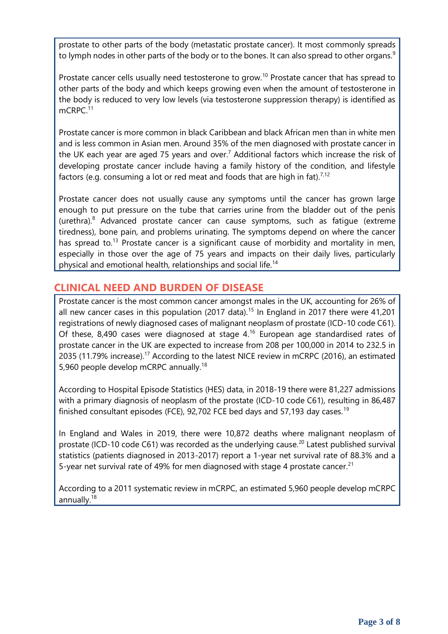prostate to other parts of the body (metastatic prostate cancer). It most commonly spreads to lymph nodes in other parts of the body or to the bones. It can also spread to other organs.<sup>9</sup>

Prostate cancer cells usually need testosterone to grow.<sup>10</sup> Prostate cancer that has spread to other parts of the body and which keeps growing even when the amount of testosterone in the body is reduced to very low levels (via testosterone suppression therapy) is identified as mCRPC.<sup>11</sup>

Prostate cancer is more common in black Caribbean and black African men than in white men and is less common in Asian men. Around 35% of the men diagnosed with prostate cancer in the UK each year are aged 75 years and over.<sup>7</sup> Additional factors which increase the risk of developing prostate cancer include having a family history of the condition, and lifestyle factors (e.g. consuming a lot or red meat and foods that are high in fat).<sup>7,12</sup>

Prostate cancer does not usually cause any symptoms until the cancer has grown large enough to put pressure on the tube that carries urine from the bladder out of the penis (urethra). $8$  Advanced prostate cancer can cause symptoms, such as fatigue (extreme tiredness), bone pain, and problems urinating. The symptoms depend on where the cancer has spread to.<sup>13</sup> Prostate cancer is a significant cause of morbidity and mortality in men, especially in those over the age of 75 years and impacts on their daily lives, particularly physical and emotional health, relationships and social life.<sup>14</sup>

#### **CLINICAL NEED AND BURDEN OF DISEASE**

Prostate cancer is the most common cancer amongst males in the UK, accounting for 26% of all new cancer cases in this population (2017 data).<sup>15</sup> In England in 2017 there were 41,201 registrations of newly diagnosed cases of malignant neoplasm of prostate (ICD-10 code C61). Of these, 8,490 cases were diagnosed at stage  $4^{16}$  European age standardised rates of prostate cancer in the UK are expected to increase from 208 per 100,000 in 2014 to 232.5 in 2035 (11.79% increase).<sup>17</sup> According to the latest NICE review in mCRPC (2016), an estimated 5,960 people develop mCRPC annually.<sup>18</sup>

According to Hospital Episode Statistics (HES) data, in 2018-19 there were 81,227 admissions with a primary diagnosis of neoplasm of the prostate (ICD-10 code C61), resulting in 86,487 finished consultant episodes (FCE), 92,702 FCE bed days and 57,193 day cases.<sup>19</sup>

In England and Wales in 2019, there were 10,872 deaths where malignant neoplasm of prostate (ICD-10 code C61) was recorded as the underlying cause.<sup>20</sup> Latest published survival statistics (patients diagnosed in 2013-2017) report a 1-year net survival rate of 88.3% and a 5-year net survival rate of 49% for men diagnosed with stage 4 prostate cancer.<sup>21</sup>

According to a 2011 systematic review in mCRPC, an estimated 5,960 people develop mCRPC annually.<sup>18</sup>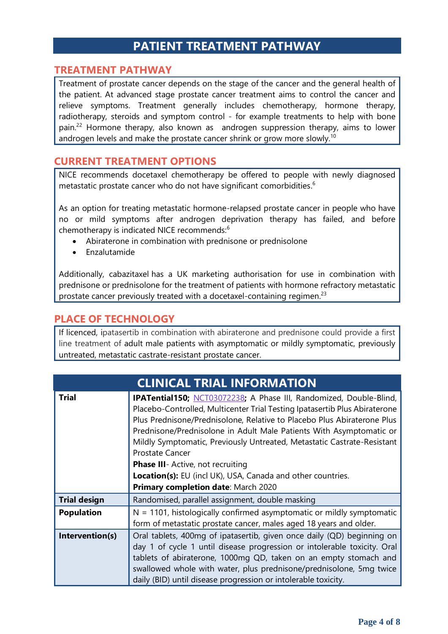## **PATIENT TREATMENT PATHWAY**

#### **TREATMENT PATHWAY**

Treatment of prostate cancer depends on the stage of the cancer and the general health of the patient. At advanced stage prostate cancer treatment aims to control the cancer and relieve symptoms. Treatment generally includes chemotherapy, hormone therapy, radiotherapy, steroids and symptom control - for example treatments to help with bone pain.<sup>22</sup> Hormone therapy, also known as androgen suppression therapy, aims to lower androgen levels and make the prostate cancer shrink or grow more slowly.<sup>10</sup>

#### **CURRENT TREATMENT OPTIONS**

NICE recommends docetaxel chemotherapy be offered to people with newly diagnosed metastatic prostate cancer who do not have significant comorbidities.<sup>6</sup>

As an option for treating metastatic hormone-relapsed prostate cancer in people who have no or mild symptoms after androgen deprivation therapy has failed, and before chemotherapy is indicated NICE recommends:<sup>6</sup>

- Abiraterone in combination with prednisone or prednisolone
- Enzalutamide

Additionally, cabazitaxel has a UK marketing authorisation for use in combination with prednisone or prednisolone for the treatment of patients with hormone refractory metastatic prostate cancer previously treated with a docetaxel-containing regimen.<sup>23</sup>

#### **PLACE OF TECHNOLOGY**

If licenced, ipatasertib in combination with abiraterone and prednisone could provide a first line treatment of adult male patients with asymptomatic or mildly symptomatic, previously untreated, metastatic castrate-resistant prostate cancer.

| <b>CLINICAL TRIAL INFORMATION</b> |                                                                                                                                                                                                                                                                                                                                                                                                                                                                                                                                                                   |  |
|-----------------------------------|-------------------------------------------------------------------------------------------------------------------------------------------------------------------------------------------------------------------------------------------------------------------------------------------------------------------------------------------------------------------------------------------------------------------------------------------------------------------------------------------------------------------------------------------------------------------|--|
| <b>Trial</b>                      | IPATential150; NCT03072238; A Phase III, Randomized, Double-Blind,<br>Placebo-Controlled, Multicenter Trial Testing Ipatasertib Plus Abiraterone<br>Plus Prednisone/Prednisolone, Relative to Placebo Plus Abiraterone Plus<br>Prednisone/Prednisolone in Adult Male Patients With Asymptomatic or<br>Mildly Symptomatic, Previously Untreated, Metastatic Castrate-Resistant<br><b>Prostate Cancer</b><br><b>Phase III</b> - Active, not recruiting<br><b>Location(s):</b> EU (incl UK), USA, Canada and other countries.<br>Primary completion date: March 2020 |  |
| <b>Trial design</b>               | Randomised, parallel assignment, double masking                                                                                                                                                                                                                                                                                                                                                                                                                                                                                                                   |  |
| <b>Population</b>                 | $N = 1101$ , histologically confirmed asymptomatic or mildly symptomatic<br>form of metastatic prostate cancer, males aged 18 years and older.                                                                                                                                                                                                                                                                                                                                                                                                                    |  |
| Intervention(s)                   | Oral tablets, 400mg of ipatasertib, given once daily (QD) beginning on<br>day 1 of cycle 1 until disease progression or intolerable toxicity. Oral<br>tablets of abiraterone, 1000mg QD, taken on an empty stomach and<br>swallowed whole with water, plus prednisone/prednisolone, 5mg twice<br>daily (BID) until disease progression or intolerable toxicity.                                                                                                                                                                                                   |  |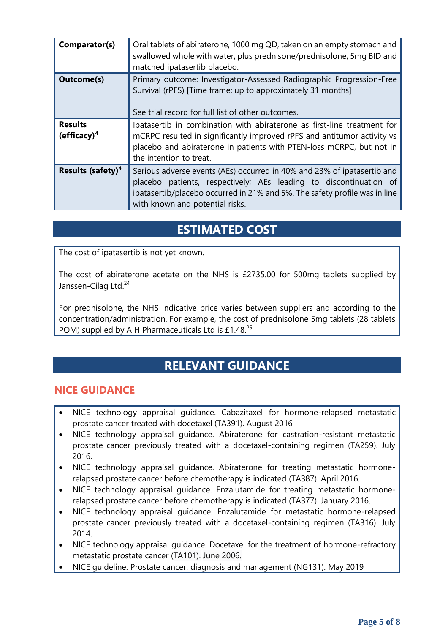| Comparator(s)                             | Oral tablets of abiraterone, 1000 mg QD, taken on an empty stomach and<br>swallowed whole with water, plus prednisone/prednisolone, 5mg BID and<br>matched ipatasertib placebo.                                                                               |
|-------------------------------------------|---------------------------------------------------------------------------------------------------------------------------------------------------------------------------------------------------------------------------------------------------------------|
| <b>Outcome(s)</b>                         | Primary outcome: Investigator-Assessed Radiographic Progression-Free<br>Survival (rPFS) [Time frame: up to approximately 31 months]<br>See trial record for full list of other outcomes.                                                                      |
| <b>Results</b><br>(efficacy) <sup>4</sup> | Ipatasertib in combination with abiraterone as first-line treatment for<br>mCRPC resulted in significantly improved rPFS and antitumor activity vs<br>placebo and abiraterone in patients with PTEN-loss mCRPC, but not in<br>the intention to treat.         |
| Results (safety) <sup>4</sup>             | Serious adverse events (AEs) occurred in 40% and 23% of ipatasertib and<br>placebo patients, respectively; AEs leading to discontinuation of<br>ipatasertib/placebo occurred in 21% and 5%. The safety profile was in line<br>with known and potential risks. |

## **ESTIMATED COST**

The cost of ipatasertib is not yet known.

The cost of abiraterone acetate on the NHS is £2735.00 for 500mg tablets supplied by Janssen-Cilag Ltd.<sup>24</sup>

For prednisolone, the NHS indicative price varies between suppliers and according to the concentration/administration. For example, the cost of prednisolone 5mg tablets (28 tablets POM) supplied by A H Pharmaceuticals Ltd is £1.48.<sup>25</sup>

## **RELEVANT GUIDANCE**

#### **NICE GUIDANCE**

- NICE technology appraisal guidance. Cabazitaxel for hormone-relapsed metastatic prostate cancer treated with docetaxel (TA391). August 2016
- NICE technology appraisal guidance. Abiraterone for castration-resistant metastatic prostate cancer previously treated with a docetaxel-containing regimen (TA259). July 2016.
- NICE technology appraisal guidance. Abiraterone for treating metastatic hormonerelapsed prostate cancer before chemotherapy is indicated (TA387). April 2016.
- NICE technology appraisal guidance. Enzalutamide for treating metastatic hormonerelapsed prostate cancer before chemotherapy is indicated (TA377). January 2016.
- NICE technology appraisal guidance. Enzalutamide for metastatic hormone-relapsed prostate cancer previously treated with a docetaxel-containing regimen (TA316). July 2014.
- NICE technology appraisal guidance. Docetaxel for the treatment of hormone-refractory metastatic prostate cancer (TA101). June 2006.
- NICE guideline. Prostate cancer: diagnosis and management (NG131). May 2019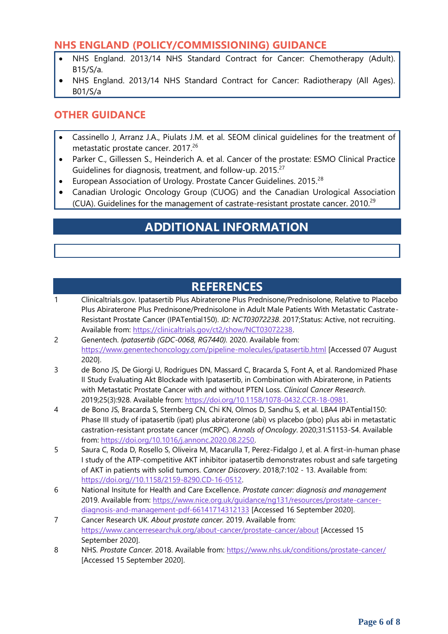#### **NHS ENGLAND (POLICY/COMMISSIONING) GUIDANCE**

- NHS England. 2013/14 NHS Standard Contract for Cancer: Chemotherapy (Adult). B15/S/a.
- NHS England. 2013/14 NHS Standard Contract for Cancer: Radiotherapy (All Ages). B01/S/a

### **OTHER GUIDANCE**

- Cassinello J, Arranz J.A., Piulats J.M. et al. SEOM clinical guidelines for the treatment of metastatic prostate cancer. 2017.<sup>26</sup>
- Parker C., Gillessen S., Heinderich A. et al. Cancer of the prostate: ESMO Clinical Practice Guidelines for diagnosis, treatment, and follow-up. 2015.<sup>27</sup>
- European Association of Urology. Prostate Cancer Guidelines. 2015.<sup>28</sup>
- Canadian Urologic Oncology Group (CUOG) and the Canadian Urological Association (CUA). Guidelines for the management of castrate-resistant prostate cancer. 2010.<sup>29</sup>

## **ADDITIONAL INFORMATION**

## **REFERENCES**

- 1 Clinicaltrials.gov. Ipatasertib Plus Abiraterone Plus Prednisone/Prednisolone, Relative to Placebo Plus Abiraterone Plus Prednisone/Prednisolone in Adult Male Patients With Metastatic Castrate-Resistant Prostate Cancer (IPATential150). *ID: NCT03072238*. 2017;Status: Active, not recruiting. Available from[: https://clinicaltrials.gov/ct2/show/NCT03072238.](https://clinicaltrials.gov/ct2/show/NCT03072238)
- 2 Genentech. *Ipatasertib (GDC-0068, RG7440).* 2020. Available from: <https://www.genentechoncology.com/pipeline-molecules/ipatasertib.html> [Accessed 07 August 2020].
- 3 de Bono JS, De Giorgi U, Rodrigues DN, Massard C, Bracarda S, Font A, et al. Randomized Phase II Study Evaluating Akt Blockade with Ipatasertib, in Combination with Abiraterone, in Patients with Metastatic Prostate Cancer with and without PTEN Loss. *Clinical Cancer Research*. 2019;25(3):928. Available from[: https://doi.org/10.1158/1078-0432.CCR-18-0981.](https://doi.org/10.1158/1078-0432.CCR-18-0981)
- 4 de Bono JS, Bracarda S, Sternberg CN, Chi KN, Olmos D, Sandhu S, et al. LBA4 IPATential150: Phase III study of ipatasertib (ipat) plus abiraterone (abi) vs placebo (pbo) plus abi in metastatic castration-resistant prostate cancer (mCRPC). *Annals of Oncology*. 2020;31:S1153-S4. Available from: [https://doi.org/10.1016/j.annonc.2020.08.2250.](https://doi.org/10.1016/j.annonc.2020.08.2250)
- 5 Saura C, Roda D, Rosello S, Oliveira M, Macarulla T, Perez-Fidalgo J, et al. A first-in-human phase I study of the ATP-competitive AKT inhibitor ipatasertib demonstrates robust and safe targeting of AKT in patients with solid tumors. *Cancer Discovery*. 2018;7:102 - 13. Available from: [https://doi.org//10.1158/2159-8290.CD-16-0512.](https://doi.org/10.1158/2159-8290.CD-16-0512)
- 6 National Insitute for Health and Care Excellence. *Prostate cancer: diagnosis and management*  2019. Available from: [https://www.nice.org.uk/guidance/ng131/resources/prostate-cancer](https://www.nice.org.uk/guidance/ng131/resources/prostate-cancer-diagnosis-and-management-pdf-66141714312133)[diagnosis-and-management-pdf-66141714312133](https://www.nice.org.uk/guidance/ng131/resources/prostate-cancer-diagnosis-and-management-pdf-66141714312133) [Accessed 16 September 2020].
- 7 Cancer Research UK. *About prostate cancer.* 2019. Available from: <https://www.cancerresearchuk.org/about-cancer/prostate-cancer/about> [Accessed 15 September 2020].
- 8 NHS. *Prostate Cancer.* 2018. Available from:<https://www.nhs.uk/conditions/prostate-cancer/> [Accessed 15 September 2020].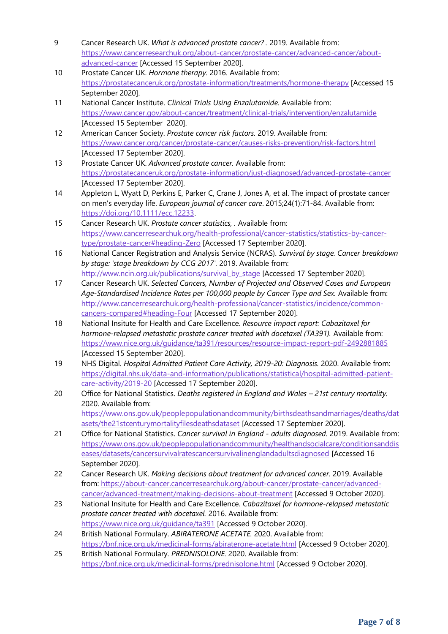- 9 Cancer Research UK. *What is advanced prostate cancer? .* 2019. Available from: [https://www.cancerresearchuk.org/about-cancer/prostate-cancer/advanced-cancer/about](https://www.cancerresearchuk.org/about-cancer/prostate-cancer/advanced-cancer/about-advanced-cancer)[advanced-cancer](https://www.cancerresearchuk.org/about-cancer/prostate-cancer/advanced-cancer/about-advanced-cancer) [Accessed 15 September 2020].
- 10 Prostate Cancer UK. *Hormone therapy.* 2016. Available from: <https://prostatecanceruk.org/prostate-information/treatments/hormone-therapy> [Accessed 15 September 2020].
- 11 National Cancer Institute. *Clinical Trials Using Enzalutamide.* Available from: <https://www.cancer.gov/about-cancer/treatment/clinical-trials/intervention/enzalutamide> [Accessed 15 September 2020].
- 12 American Cancer Society. *Prostate cancer risk factors.* 2019. Available from: <https://www.cancer.org/cancer/prostate-cancer/causes-risks-prevention/risk-factors.html> [Accessed 17 September 2020].
- 13 Prostate Cancer UK. *Advanced prostate cancer.* Available from: <https://prostatecanceruk.org/prostate-information/just-diagnosed/advanced-prostate-cancer> [Accessed 17 September 2020].
- 14 Appleton L, Wyatt D, Perkins E, Parker C, Crane J, Jones A, et al. The impact of prostate cancer on men's everyday life. *European journal of cancer care*. 2015;24(1):71-84. Available from: [https://doi.org/10.1111/ecc.12233.](https://doi.org/10.1111/ecc.12233)
- 15 Cancer Research UK. *Prostate cancer statistics, .* Available from: [https://www.cancerresearchuk.org/health-professional/cancer-statistics/statistics-by-cancer](https://www.cancerresearchuk.org/health-professional/cancer-statistics/statistics-by-cancer-type/prostate-cancer#heading-Zero)[type/prostate-cancer#heading-Zero](https://www.cancerresearchuk.org/health-professional/cancer-statistics/statistics-by-cancer-type/prostate-cancer#heading-Zero) [Accessed 17 September 2020].
- 16 National Cancer Registration and Analysis Service (NCRAS). *Survival by stage. Cancer breakdown by stage: 'stage breakdown by CCG 2017'.* 2019. Available from: [http://www.ncin.org.uk/publications/survival\\_by\\_stage](http://www.ncin.org.uk/publications/survival_by_stage) [Accessed 17 September 2020].
- 17 Cancer Research UK. *Selected Cancers, Number of Projected and Observed Cases and European Age-Standardised Incidence Rates per 100,000 people by Cancer Type and Sex.* Available from: [http://www.cancerresearchuk.org/health-professional/cancer-statistics/incidence/common](http://www.cancerresearchuk.org/health-professional/cancer-statistics/incidence/common-cancers-compared#heading-Four)[cancers-compared#heading-Four](http://www.cancerresearchuk.org/health-professional/cancer-statistics/incidence/common-cancers-compared#heading-Four) [Accessed 17 September 2020].
- 18 National Insitute for Health and Care Excellence. *Resource impact report: Cabazitaxel for hormone-relapsed metastatic prostate cancer treated with docetaxel (TA391).* Available from: <https://www.nice.org.uk/guidance/ta391/resources/resource-impact-report-pdf-2492881885> [Accessed 15 September 2020].
- 19 NHS Digital. *Hospital Admitted Patient Care Activity, 2019-20: Diagnosis.* 2020. Available from: [https://digital.nhs.uk/data-and-information/publications/statistical/hospital-admitted-patient](https://digital.nhs.uk/data-and-information/publications/statistical/hospital-admitted-patient-care-activity/2019-20)[care-activity/2019-20](https://digital.nhs.uk/data-and-information/publications/statistical/hospital-admitted-patient-care-activity/2019-20) [Accessed 17 September 2020].
- 20 Office for National Statistics. *Deaths registered in England and Wales – 21st century mortality.* 2020. Available from: [https://www.ons.gov.uk/peoplepopulationandcommunity/birthsdeathsandmarriages/deaths/dat](https://www.ons.gov.uk/peoplepopulationandcommunity/birthsdeathsandmarriages/deaths/datasets/the21stcenturymortalityfilesdeathsdataset) [asets/the21stcenturymortalityfilesdeathsdataset](https://www.ons.gov.uk/peoplepopulationandcommunity/birthsdeathsandmarriages/deaths/datasets/the21stcenturymortalityfilesdeathsdataset) [Accessed 17 September 2020].
- 21 Office for National Statistics. *Cancer survival in England - adults diagnosed.* 2019. Available from: [https://www.ons.gov.uk/peoplepopulationandcommunity/healthandsocialcare/conditionsanddis](https://www.ons.gov.uk/peoplepopulationandcommunity/healthandsocialcare/conditionsanddiseases/datasets/cancersurvivalratescancersurvivalinenglandadultsdiagnosed) [eases/datasets/cancersurvivalratescancersurvivalinenglandadultsdiagnosed](https://www.ons.gov.uk/peoplepopulationandcommunity/healthandsocialcare/conditionsanddiseases/datasets/cancersurvivalratescancersurvivalinenglandadultsdiagnosed) [Accessed 16 September 2020].
- 22 Cancer Research UK. *Making decisions about treatment for advanced cancer.* 2019. Available from: [https://about-cancer.cancerresearchuk.org/about-cancer/prostate-cancer/advanced](https://about-cancer.cancerresearchuk.org/about-cancer/prostate-cancer/advanced-cancer/advanced-treatment/making-decisions-about-treatment)[cancer/advanced-treatment/making-decisions-about-treatment](https://about-cancer.cancerresearchuk.org/about-cancer/prostate-cancer/advanced-cancer/advanced-treatment/making-decisions-about-treatment) [Accessed 9 October 2020].
- 23 National Insitute for Health and Care Excellence. *Cabazitaxel for hormone-relapsed metastatic prostate cancer treated with docetaxel.* 2016. Available from: <https://www.nice.org.uk/guidance/ta391> [Accessed 9 October 2020].
- 24 British National Formulary. *ABIRATERONE ACETATE.* 2020. Available from: <https://bnf.nice.org.uk/medicinal-forms/abiraterone-acetate.html> [Accessed 9 October 2020].
- 25 British National Formulary. *PREDNISOLONE.* 2020. Available from: <https://bnf.nice.org.uk/medicinal-forms/prednisolone.html> [Accessed 9 October 2020].